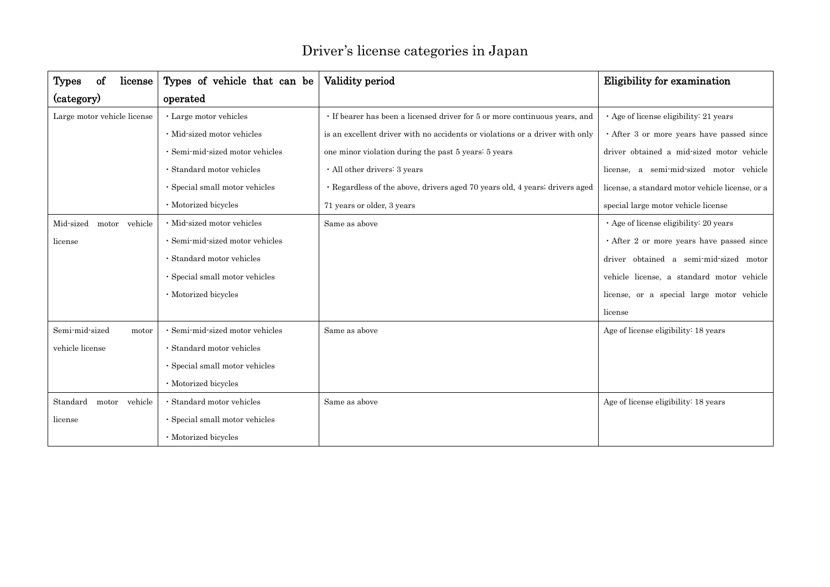| <b>Types</b><br>οf<br>license                                                       | Types of vehicle that can be         | Validity period                                                              | <b>Eligibility for examination</b>              |
|-------------------------------------------------------------------------------------|--------------------------------------|------------------------------------------------------------------------------|-------------------------------------------------|
| (category)                                                                          | operated                             |                                                                              |                                                 |
| Large motor vehicle license<br>· Large motor vehicles<br>· Mid-sized motor vehicles |                                      | · If bearer has been a licensed driver for 5 or more continuous years, and   | $\cdot$ Age of license eligibility: 21 years    |
|                                                                                     |                                      | is an excellent driver with no accidents or violations or a driver with only | · After 3 or more years have passed since       |
|                                                                                     | · Semi-mid-sized motor vehicles      | one minor violation during the past 5 years 5 years                          | driver obtained a mid-sized motor vehicle       |
|                                                                                     | · Standard motor vehicles            | · All other drivers: 3 years                                                 | license, a semi-mid-sized motor vehicle         |
|                                                                                     | · Special small motor vehicles       | • Regardless of the above, drivers aged 70 years old, 4 years, drivers aged  | license, a standard motor vehicle license, or a |
|                                                                                     | · Motorized bicycles                 | 71 years or older, 3 years                                                   | special large motor vehicle license             |
| Mid-sized<br>vehicle<br>motor                                                       | · Mid-sized motor vehicles           | Same as above                                                                | · Age of license eligibility: 20 years          |
| license                                                                             | · Semi-mid-sized motor vehicles      |                                                                              | $\cdot$ After 2 or more years have passed since |
|                                                                                     | · Standard motor vehicles            |                                                                              | driver obtained a semi-mid-sized motor          |
|                                                                                     | $\cdot$ Special small motor vehicles |                                                                              | vehicle license, a standard motor vehicle       |
|                                                                                     | · Motorized bicycles                 |                                                                              | license, or a special large motor vehicle       |
|                                                                                     |                                      |                                                                              | license                                         |
| Semi-mid-sized<br>motor                                                             | · Semi-mid-sized motor vehicles      | Same as above                                                                | Age of license eligibility: 18 years            |
| vehicle license                                                                     | · Standard motor vehicles            |                                                                              |                                                 |
|                                                                                     | · Special small motor vehicles       |                                                                              |                                                 |
|                                                                                     | · Motorized bicycles                 |                                                                              |                                                 |
| Standard<br>vehicle<br>motor                                                        | · Standard motor vehicles            | Same as above                                                                | Age of license eligibility: 18 years            |
| license                                                                             | $\cdot$ Special small motor vehicles |                                                                              |                                                 |
|                                                                                     | · Motorized bicycles                 |                                                                              |                                                 |

## Driver's license categories in Japan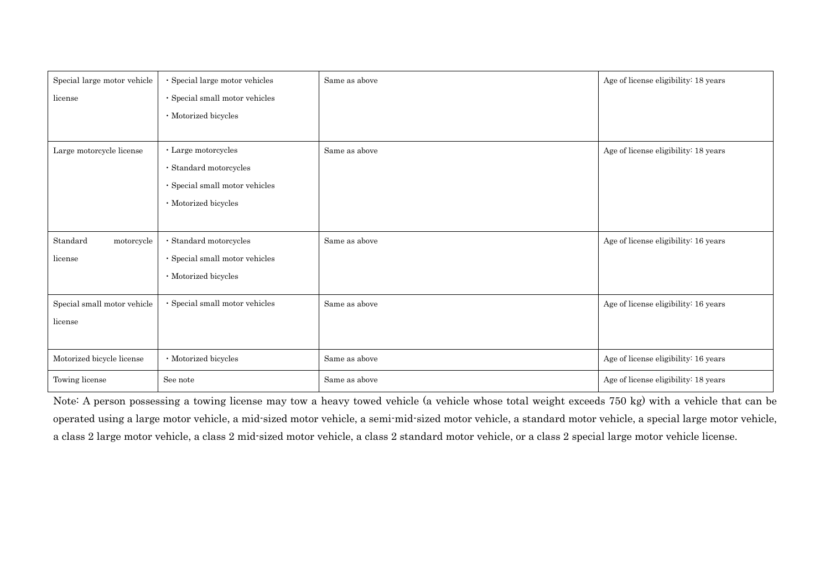| Special large motor vehicle | · Special large motor vehicles       | Same as above | Age of license eligibility: 18 years |
|-----------------------------|--------------------------------------|---------------|--------------------------------------|
| license                     | $\cdot$ Special small motor vehicles |               |                                      |
|                             | · Motorized bicycles                 |               |                                      |
|                             |                                      |               |                                      |
| Large motorcycle license    | $\cdot$ Large motorcycles            | Same as above | Age of license eligibility: 18 years |
|                             | $\cdot$ Standard motorcycles         |               |                                      |
|                             | $\cdot$ Special small motor vehicles |               |                                      |
|                             | · Motorized bicycles                 |               |                                      |
|                             |                                      |               |                                      |
| Standard<br>motorcycle      | $\cdot$ Standard motorcycles         | Same as above | Age of license eligibility: 16 years |
| license                     | $\cdot$ Special small motor vehicles |               |                                      |
|                             | $\cdot$ Motorized bicycles           |               |                                      |
| Special small motor vehicle | $\cdot$ Special small motor vehicles | Same as above | Age of license eligibility: 16 years |
| license                     |                                      |               |                                      |
|                             |                                      |               |                                      |
| Motorized bicycle license   | $\cdot$ Motorized bicycles           | Same as above | Age of license eligibility: 16 years |
| Towing license              | See note                             | Same as above | Age of license eligibility: 18 years |

Note: A person possessing a towing license may tow a heavy towed vehicle (a vehicle whose total weight exceeds 750 kg) with a vehicle that can be operated using a large motor vehicle, a mid-sized motor vehicle, a semi-mid-sized motor vehicle, a standard motor vehicle, a special large motor vehicle, a class 2 large motor vehicle, a class 2 mid-sized motor vehicle, a class 2 standard motor vehicle, or a class 2 special large motor vehicle license.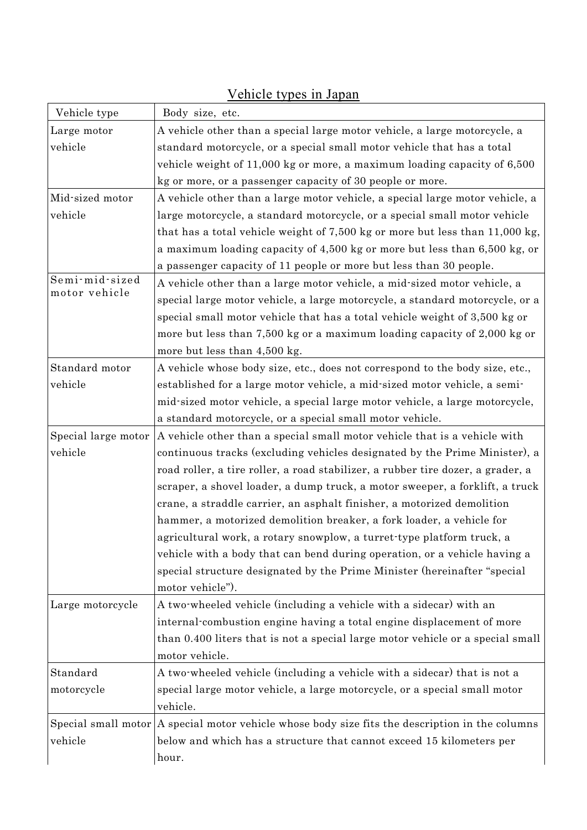| Vehicle type        | Body size, etc.                                                                                         |  |  |
|---------------------|---------------------------------------------------------------------------------------------------------|--|--|
| Large motor         | A vehicle other than a special large motor vehicle, a large motorcycle, a                               |  |  |
| vehicle             | standard motorcycle, or a special small motor vehicle that has a total                                  |  |  |
|                     | vehicle weight of $11,000$ kg or more, a maximum loading capacity of $6,500$                            |  |  |
|                     | kg or more, or a passenger capacity of 30 people or more.                                               |  |  |
| Mid-sized motor     | A vehicle other than a large motor vehicle, a special large motor vehicle, a                            |  |  |
| vehicle             | large motorcycle, a standard motorcycle, or a special small motor vehicle                               |  |  |
|                     | that has a total vehicle weight of 7,500 kg or more but less than $11,000$ kg,                          |  |  |
|                     | a maximum loading capacity of 4,500 kg or more but less than 6,500 kg, or                               |  |  |
|                     | a passenger capacity of 11 people or more but less than 30 people.                                      |  |  |
| Semi-mid-sized      | A vehicle other than a large motor vehicle, a mid-sized motor vehicle, a                                |  |  |
| motor vehicle       | special large motor vehicle, a large motorcycle, a standard motorcycle, or a                            |  |  |
|                     | special small motor vehicle that has a total vehicle weight of 3,500 kg or                              |  |  |
|                     | more but less than 7,500 kg or a maximum loading capacity of 2,000 kg or                                |  |  |
|                     | more but less than 4,500 kg.                                                                            |  |  |
| Standard motor      | A vehicle whose body size, etc., does not correspond to the body size, etc.,                            |  |  |
| vehicle             | established for a large motor vehicle, a mid-sized motor vehicle, a semi-                               |  |  |
|                     | mid-sized motor vehicle, a special large motor vehicle, a large motorcycle,                             |  |  |
|                     | a standard motorcycle, or a special small motor vehicle.                                                |  |  |
| Special large motor | A vehicle other than a special small motor vehicle that is a vehicle with                               |  |  |
| vehicle             | continuous tracks (excluding vehicles designated by the Prime Minister), a                              |  |  |
|                     | road roller, a tire roller, a road stabilizer, a rubber tire dozer, a grader, a                         |  |  |
|                     | scraper, a shovel loader, a dump truck, a motor sweeper, a forklift, a truck                            |  |  |
|                     | crane, a straddle carrier, an asphalt finisher, a motorized demolition                                  |  |  |
|                     |                                                                                                         |  |  |
|                     | hammer, a motorized demolition breaker, a fork loader, a vehicle for                                    |  |  |
|                     | agricultural work, a rotary snowplow, a turret-type platform truck, a                                   |  |  |
|                     | vehicle with a body that can bend during operation, or a vehicle having a                               |  |  |
|                     | special structure designated by the Prime Minister (hereinafter "special                                |  |  |
|                     | motor vehicle").                                                                                        |  |  |
| Large motorcycle    | A two-wheeled vehicle (including a vehicle with a sidecar) with an                                      |  |  |
|                     | internal combustion engine having a total engine displacement of more                                   |  |  |
|                     | than 0.400 liters that is not a special large motor vehicle or a special small                          |  |  |
|                     | motor vehicle.                                                                                          |  |  |
| Standard            | A two-wheeled vehicle (including a vehicle with a sidecar) that is not a                                |  |  |
| motorcycle          | special large motor vehicle, a large motorcycle, or a special small motor                               |  |  |
|                     | vehicle.                                                                                                |  |  |
|                     | Special small motor $\vert A$ special motor vehicle whose body size fits the description in the columns |  |  |
| vehicle             | below and which has a structure that cannot exceed 15 kilometers per                                    |  |  |
|                     | hour.                                                                                                   |  |  |

## Vehicle types in Japan